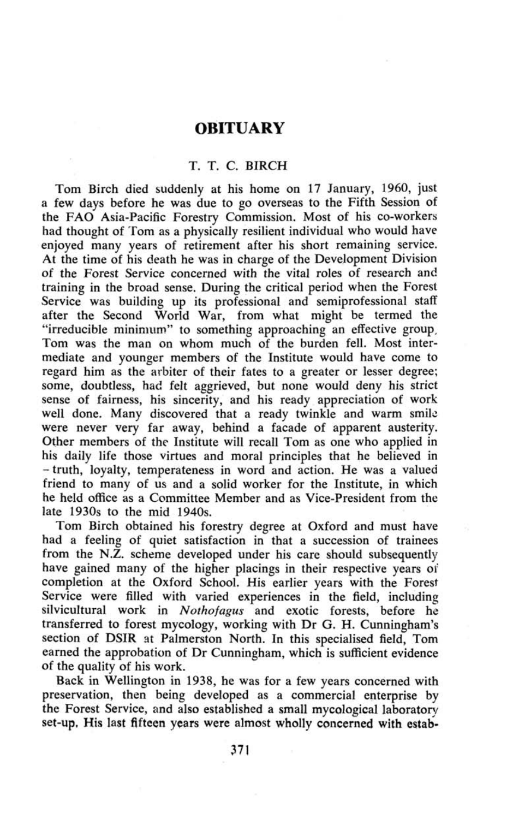## **OBITUARY**

## T. T. C. BIRCH

Tom Birch died suddenly at his home on 17 January, 1960, just a few days before he was due to go overseas to the Fifth Session of the FAO Asia-Pacific Forestry Commission. Most of his co-workers had thought of Tom as a physically resilient individual who would have enjoyed many years of retirement after his short remaining service. At the time of his death he was in charge of the Development Division of the Forest Service concerned with the vital roles of research and training in the broad sense. During the critical period when the Forest Service was building up its professional and semiprofessional staff after the Second World War, from what might be termed the "irreducible minimum" to something approaching an effective group, Tom was the man on whom much of the burden fell. Most intermediate and younger members of the Institute would have come to regard him as the arbiter of their fates to a greater or lesser degree; some, doubtless, had felt aggrieved, but none would deny his strict sense of fairness, his sincerity, and his ready appreciation of work well done. Many discovered that a ready twinkle and warm smile were never very far away, behind a facade of apparent austerity. Other members of the Institute will recall Tom as one who applied in his daily life those virtues and moral principles that he believed in -truth, loyalty, temperateness in word and action. He was a valued friend to many of us and a solid worker for the Institute, in which he held office as a Committee Member and as Vice-President from the late 1930s to the mid 1940s.

Tom Birch obtained his forestry degree at Oxford and must have had a feeling of quiet satisfaction in that a succession of trainees from the N.Z. scheme developed under his care should subsequently have gained many of the higher placings in their respective years of completion at the Oxford School. His earlier years with the Forest Service were filled with varied experiences in the field, including silvicultural work in *Nothofagus* and exotic forests, before he transferred to forest mycology, working with Dr G. H. Cunningham's section of DSIR at Palmerston North. In this specialised field, Tom earned the approbation of Dr Cunningham, which is sufficient evidence of the quality of his work.

Back in Wellington in 1938, he was for a few years concerned with preservation, then being developed as a commercial enterprise by the Forest Service, and also established a small mycological laboratory set-up, His last fifteen years were almost wholly concerned with estab